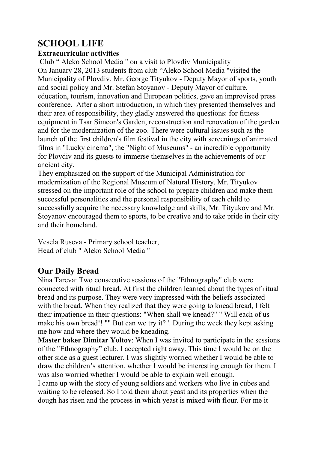# **SCHOOL LIFE**

#### **Extracurricular activities**

 Club " Aleko School Media " on a visit to Plovdiv Municipality On January 28, 2013 students from club "Aleko School Media "visited the Municipality of Plovdiv. Mr. George Tityukov - Deputy Mayor of sports, youth and social policy and Mr. Stefan Stoyanov - Deputy Mayor of culture, education, tourism, innovation and European politics, gave an improvised press conference. After a short introduction, in which they presented themselves and their area of responsibility, they gladly answered the questions: for fitness equipment in Tsar Simeon's Garden, reconstruction and renovation of the garden and for the modernization of the zoo. There were cultural issues such as the launch of the first children's film festival in the city with screenings of animated films in "Lucky cinema", the "Night of Museums" - an incredible opportunity for Plovdiv and its guests to immerse themselves in the achievements of our ancient city.

They emphasized on the support of the Municipal Administration for modernization of the Regional Museum of Natural History. Mr. Tityukov stressed on the important role of the school to prepare children and make them successful personalities and the personal responsibility of each child to successfully acquire the necessary knowledge and skills, Mr. Tityukov and Mr. Stoyanov encouraged them to sports, to be creative and to take pride in their city and their homeland.

Vesela Ruseva - Primary school teacher, Head of club " Aleko School Media "

## **Our Daily Bread**

Nina Tareva: Two consecutive sessions of the "Ethnography" club were connected with ritual bread. At first the children learned about the types of ritual bread and its purpose. They were very impressed with the beliefs associated with the bread. When they realized that they were going to knead bread, I felt their impatience in their questions: "When shall we knead?" " Will each of us make his own bread!! "" But can we try it? '. During the week they kept asking me how and where they would be kneading.

**Master baker Dimitar Yoltov**: When I was invited to participate in the sessions of the "Ethnography" club, I accepted right away. This time I would be on the other side as a guest lecturer. I was slightly worried whether I would be able to draw the children's attention, whether I would be interesting enough for them. I was also worried whether I would be able to explain well enough.

I came up with the story of young soldiers and workers who live in cubes and waiting to be released. So I told them about yeast and its properties when the dough has risen and the process in which yeast is mixed with flour. For me it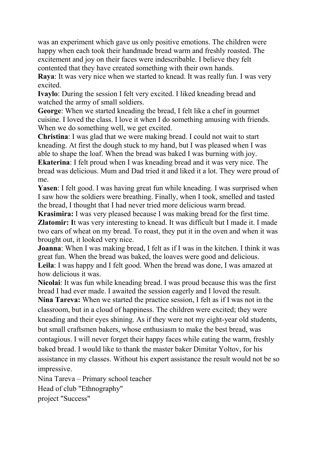was an experiment which gave us only positive emotions. The children were happy when each took their handmade bread warm and freshly roasted. The excitement and joy on their faces were indescribable. I believe they felt contented that they have created something with their own hands.

**Raya**: It was very nice when we started to knead. It was really fun. I was very excited.

**Ivaylo**: During the session I felt very excited. I liked kneading bread and watched the army of small soldiers.

**George**: When we started kneading the bread, I felt like a chef in gourmet cuisine. I loved the class. I love it when I do something amusing with friends. When we do something well, we get excited.

**Christina**: I was glad that we were making bread. I could not wait to start kneading. At first the dough stuck to my hand, but I was pleased when I was able to shape the loaf. When the bread was baked I was burning with joy.

**Ekaterina**: I felt proud when I was kneading bread and it was very nice. The bread was delicious. Mum and Dad tried it and liked it a lot. They were proud of me.

**Yasen**: I felt good. I was having great fun while kneading. I was surprised when I saw how the soldiers were breathing. Finally, when I took, smelled and tasted the bread, I thought that I had never tried more delicious warm bread.

**Krasimira:** I was very pleased because I was making bread for the first time. **Zlatomir:** It was very interesting to knead. It was difficult but I made it. I made two ears of wheat on my bread. To roast, they put it in the oven and when it was brought out, it looked very nice.

**Joanna**: When I was making bread, I felt as if I was in the kitchen. I think it was great fun. When the bread was baked, the loaves were good and delicious. **Leila**: I was happy and I felt good. When the bread was done, I was amazed at how delicious it was.

**Nicolai**: It was fun while kneading bread. I was proud because this was the first bread I had ever made. I awaited the session eagerly and I loved the result.

**Nina Tareva:** When we started the practice session, I felt as if I was not in the classroom, but in a cloud of happiness. The children were excited; they were kneading and their eyes shining. As if they were not my eight-year old students, but small craftsmen bakers, whose enthusiasm to make the best bread, was contagious. I will never forget their happy faces while eating the warm, freshly baked bread. I would like to thank the master baker Dimitar Yoltov, for his assistance in my classes. Without his expert assistance the result would not be so impressive.

Nina Tareva – Primary school teacher Head of club "Ethnography" project "Success"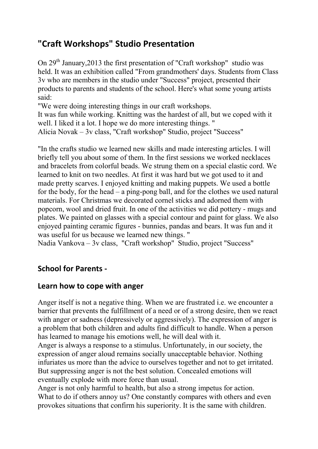## **"Craft Workshops" Studio Presentation**

On  $29<sup>th</sup>$  January, 2013 the first presentation of "Craft workshop" studio was held. It was an exhibition called "From grandmothers' days. Students from Class 3v who are members in the studio under "Success" project, presented their products to parents and students of the school. Here's what some young artists said:

"We were doing interesting things in our craft workshops.

It was fun while working. Knitting was the hardest of all, but we coped with it well. I liked it a lot. I hope we do more interesting things. "

Alicia Novak – 3v class, "Craft workshop" Studio, project "Success"

"In the crafts studio we learned new skills and made interesting articles. I will briefly tell you about some of them. In the first sessions we worked necklaces and bracelets from colorful beads. We strung them on a special elastic cord. We learned to knit on two needles. At first it was hard but we got used to it and made pretty scarves. I enjoyed knitting and making puppets. We used a bottle for the body, for the head – a ping-pong ball, and for the clothes we used natural materials. For Christmas we decorated cornel sticks and adorned them with popcorn, wool and dried fruit. In one of the activities we did pottery - mugs and plates. We painted on glasses with a special contour and paint for glass. We also enjoyed painting ceramic figures - bunnies, pandas and bears. It was fun and it was useful for us because we learned new things. "

Nadia Vankova – 3v class, "Craft workshop" Studio, project "Success"

### **School for Parents -**

### **Learn how to cope with anger**

Anger itself is not a negative thing. When we are frustrated i.e. we encounter a barrier that prevents the fulfillment of a need or of a strong desire, then we react with anger or sadness (depressively or aggressively). The expression of anger is a problem that both children and adults find difficult to handle. When a person has learned to manage his emotions well, he will deal with it.

Anger is always a response to a stimulus. Unfortunately, in our society, the expression of anger aloud remains socially unacceptable behavior. Nothing infuriates us more than the advice to ourselves together and not to get irritated. But suppressing anger is not the best solution. Concealed emotions will eventually explode with more force than usual.

Anger is not only harmful to health, but also a strong impetus for action. What to do if others annoy us? One constantly compares with others and even provokes situations that confirm his superiority. It is the same with children.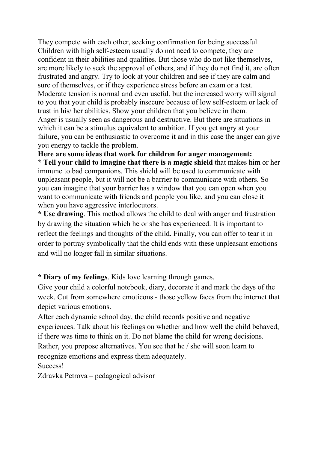They compete with each other, seeking confirmation for being successful. Children with high self-esteem usually do not need to compete, they are confident in their abilities and qualities. But those who do not like themselves, are more likely to seek the approval of others, and if they do not find it, are often frustrated and angry. Try to look at your children and see if they are calm and sure of themselves, or if they experience stress before an exam or a test. Moderate tension is normal and even useful, but the increased worry will signal to you that your child is probably insecure because of low self-esteem or lack of trust in his/ her abilities. Show your children that you believe in them. Anger is usually seen as dangerous and destructive. But there are situations in which it can be a stimulus equivalent to ambition. If you get angry at your failure, you can be enthusiastic to overcome it and in this case the anger can give you energy to tackle the problem.

**Here are some ideas that work for children for anger management: \* Tell your child to imagine that there is a magic shield** that makes him or her immune to bad companions. This shield will be used to communicate with unpleasant people, but it will not be a barrier to communicate with others. So you can imagine that your barrier has a window that you can open when you want to communicate with friends and people you like, and you can close it when you have aggressive interlocutors.

**\* Use drawing**. This method allows the child to deal with anger and frustration by drawing the situation which he or she has experienced. It is important to reflect the feelings and thoughts of the child. Finally, you can offer to tear it in order to portray symbolically that the child ends with these unpleasant emotions and will no longer fall in similar situations.

**\* Diary of my feelings**. Kids love learning through games.

Give your child a colorful notebook, diary, decorate it and mark the days of the week. Cut from somewhere emoticons - those yellow faces from the internet that depict various emotions.

After each dynamic school day, the child records positive and negative experiences. Talk about his feelings on whether and how well the child behaved, if there was time to think on it. Do not blame the child for wrong decisions. Rather, you propose alternatives. You see that he / she will soon learn to recognize emotions and express them adequately.

Success!

Zdravka Petrova – pedagogical advisor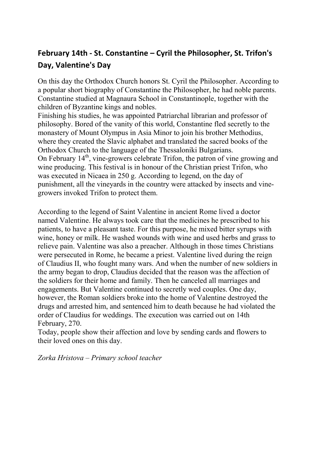## **February 14th - St. Constantine – Cyril the Philosopher, St. Trifon's Day, Valentine's Day**

On this day the Orthodox Church honors St. Cyril the Philosopher. According to a popular short biography of Constantine the Philosopher, he had noble parents. Constantine studied at Magnaura School in Constantinople, together with the children of Byzantine kings and nobles.

Finishing his studies, he was appointed Patriarchal librarian and professor of philosophy. Bored of the vanity of this world, Constantine fled secretly to the monastery of Mount Olympus in Asia Minor to join his brother Methodius, where they created the Slavic alphabet and translated the sacred books of the Orthodox Church to the language of the Thessaloniki Bulgarians. On February  $14<sup>th</sup>$ , vine-growers celebrate Trifon, the patron of vine growing and wine producing. This festival is in honour of the Christian priest Trifon, who was executed in Nicaea in 250 g. According to legend, on the day of punishment, all the vineyards in the country were attacked by insects and vinegrowers invoked Trifon to protect them.

According to the legend of Saint Valentine in ancient Rome lived a doctor named Valentine. He always took care that the medicines he prescribed to his patients, to have a pleasant taste. For this purpose, he mixed bitter syrups with wine, honey or milk. He washed wounds with wine and used herbs and grass to relieve pain. Valentine was also a preacher. Although in those times Christians were persecuted in Rome, he became a priest. Valentine lived during the reign of Claudius II, who fought many wars. And when the number of new soldiers in the army began to drop, Claudius decided that the reason was the affection of the soldiers for their home and family. Then he canceled all marriages and engagements. But Valentine continued to secretly wed couples. One day, however, the Roman soldiers broke into the home of Valentine destroyed the drugs and arrested him, and sentenced him to death because he had violated the order of Claudius for weddings. The execution was carried out on 14th February, 270.

Today, people show their affection and love by sending cards and flowers to their loved ones on this day.

*Zorka Hristova – Primary school teacher*